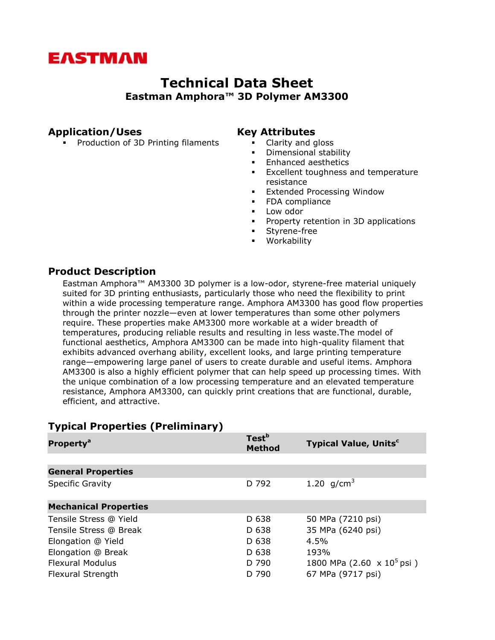# **EASTMAN**

## **Technical Data Sheet Eastman Amphora™ 3D Polymer AM3300**

## **Application/Uses**

**Production of 3D Printing filaments** 

#### **Key Attributes**

- **Clarity and gloss**
- **•** Dimensional stability
- **Enhanced aesthetics**
- **Excellent toughness and temperature** resistance
- Extended Processing Window
- **FDA** compliance
- **Low odor**
- **Property retention in 3D applications**
- Styrene-free
- Workability

### **Product Description**

Eastman Amphora™ AM3300 3D polymer is a low-odor, styrene-free material uniquely suited for 3D printing enthusiasts, particularly those who need the flexibility to print within a wide processing temperature range. Amphora AM3300 has good flow properties through the printer nozzle—even at lower temperatures than some other polymers require. These properties make AM3300 more workable at a wider breadth of temperatures, producing reliable results and resulting in less waste.The model of functional aesthetics, Amphora AM3300 can be made into high-quality filament that exhibits advanced overhang ability, excellent looks, and large printing temperature range—empowering large panel of users to create durable and useful items. Amphora AM3300 is also a highly efficient polymer that can help speed up processing times. With the unique combination of a low processing temperature and an elevated temperature resistance, Amphora AM3300, can quickly print creations that are functional, durable, efficient, and attractive.

| Property <sup>a</sup>        | Test <sup>b</sup><br><b>Method</b> | <b>Typical Value, Units<sup>c</sup></b>   |
|------------------------------|------------------------------------|-------------------------------------------|
|                              |                                    |                                           |
| <b>General Properties</b>    |                                    |                                           |
| <b>Specific Gravity</b>      | D 792                              | 1.20 $q/cm^3$                             |
|                              |                                    |                                           |
| <b>Mechanical Properties</b> |                                    |                                           |
| Tensile Stress @ Yield       | D 638                              | 50 MPa (7210 psi)                         |
| Tensile Stress @ Break       | D 638                              | 35 MPa (6240 psi)                         |
| Elongation @ Yield           | D 638                              | 4.5%                                      |
| Elongation @ Break           | D 638                              | 193%                                      |
| <b>Flexural Modulus</b>      | D 790                              | 1800 MPa $(2.60 \times 10^5 \text{ psi})$ |
| Flexural Strength            | D 790                              | 67 MPa (9717 psi)                         |

## **Typical Properties (Preliminary)**